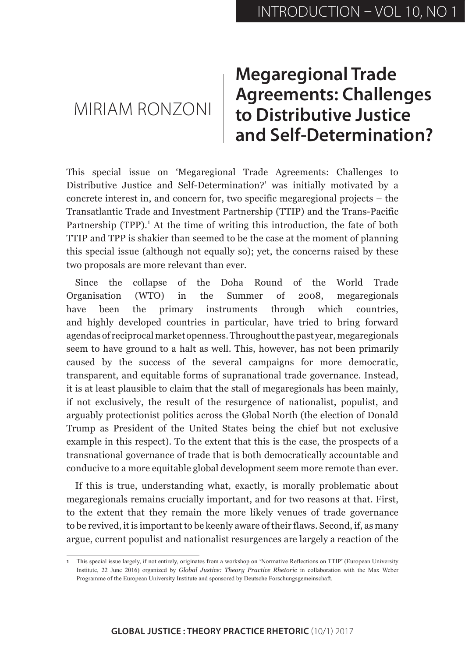## MIRIAM RONZONI

## **Megaregional Trade Agreements: Challenges to Distributive Justice and Self-Determination?**

This special issue on 'Megaregional Trade Agreements: Challenges to Distributive Justice and Self-Determination?' was initially motivated by a concrete interest in, and concern for, two specific megaregional projects – the Transatlantic Trade and Investment Partnership (TTIP) and the Trans-Pacific Partnership (TPP).<sup>1</sup> At the time of writing this introduction, the fate of both TTIP and TPP is shakier than seemed to be the case at the moment of planning this special issue (although not equally so); yet, the concerns raised by these two proposals are more relevant than ever.

Since the collapse of the Doha Round of the World Trade Organisation (WTO) in the Summer of 2008, megaregionals have been the primary instruments through which countries, and highly developed countries in particular, have tried to bring forward agendas of reciprocal market openness. Throughout the past year, megaregionals seem to have ground to a halt as well. This, however, has not been primarily caused by the success of the several campaigns for more democratic, transparent, and equitable forms of supranational trade governance. Instead, it is at least plausible to claim that the stall of megaregionals has been mainly, if not exclusively, the result of the resurgence of nationalist, populist, and arguably protectionist politics across the Global North (the election of Donald Trump as President of the United States being the chief but not exclusive example in this respect). To the extent that this is the case, the prospects of a transnational governance of trade that is both democratically accountable and conducive to a more equitable global development seem more remote than ever.

If this is true, understanding what, exactly, is morally problematic about megaregionals remains crucially important, and for two reasons at that. First, to the extent that they remain the more likely venues of trade governance to be revived, it is important to be keenly aware of their flaws. Second, if, as many argue, current populist and nationalist resurgences are largely a reaction of the

<sup>1</sup> This special issue largely, if not entirely, originates from a workshop on 'Normative Reflections on TTIP' (European University Institute, 22 June 2016) organized by *Global Justice: Theory Practice Rhetoric* in collaboration with the Max Weber Programme of the European University Institute and sponsored by Deutsche Forschungsgemeinschaft.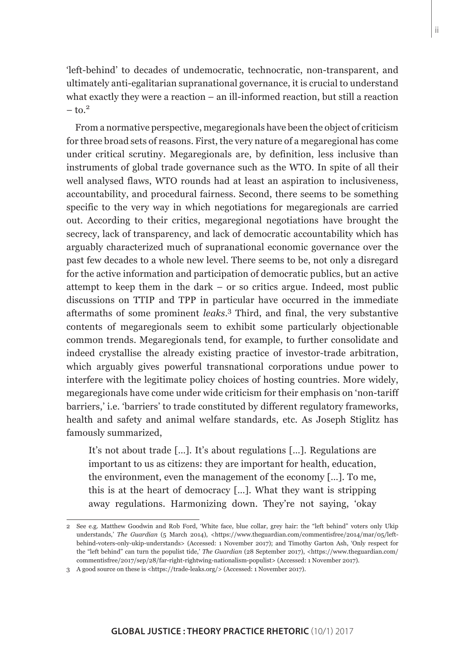From a normative perspective, megaregionals have been the object of criticism for three broad sets of reasons. First, the very nature of a megaregional has come under critical scrutiny. Megaregionals are, by definition, less inclusive than instruments of global trade governance such as the WTO. In spite of all their well analysed flaws, WTO rounds had at least an aspiration to inclusiveness, accountability, and procedural fairness. Second, there seems to be something specific to the very way in which negotiations for megaregionals are carried out. According to their critics, megaregional negotiations have brought the secrecy, lack of transparency, and lack of democratic accountability which has arguably characterized much of supranational economic governance over the past few decades to a whole new level. There seems to be, not only a disregard for the active information and participation of democratic publics, but an active attempt to keep them in the dark – or so critics argue. Indeed, most public discussions on TTIP and TPP in particular have occurred in the immediate aftermaths of some prominent *leaks*. 3 Third, and final, the very substantive contents of megaregionals seem to exhibit some particularly objectionable common trends. Megaregionals tend, for example, to further consolidate and indeed crystallise the already existing practice of investor-trade arbitration, which arguably gives powerful transnational corporations undue power to interfere with the legitimate policy choices of hosting countries. More widely, megaregionals have come under wide criticism for their emphasis on 'non-tariff barriers,' i.e. 'barriers' to trade constituted by different regulatory frameworks, health and safety and animal welfare standards, etc. As Joseph Stiglitz has famously summarized,

It's not about trade […]. It's about regulations […]. Regulations are important to us as citizens: they are important for health, education, the environment, even the management of the economy […]. To me, this is at the heart of democracy […]. What they want is stripping away regulations. Harmonizing down. They're not saying, 'okay

<sup>2</sup> See e.g. Matthew Goodwin and Rob Ford, 'White face, blue collar, grey hair: the "left behind" voters only Ukip understands,' *The Guardian* (5 March 2014), <https://www.theguardian.com/commentisfree/2014/mar/05/leftbehind-voters-only-ukip-understands> (Accessed: 1 November 2017); and Timothy Garton Ash, 'Only respect for the "left behind" can turn the populist tide,' *The Guardian* (28 September 2017), <https://www.theguardian.com/ commentisfree/2017/sep/28/far-right-rightwing-nationalism-populist> (Accessed: 1 November 2017).

<sup>3</sup> A good source on these is <https://trade-leaks.org/> (Accessed: 1 November 2017).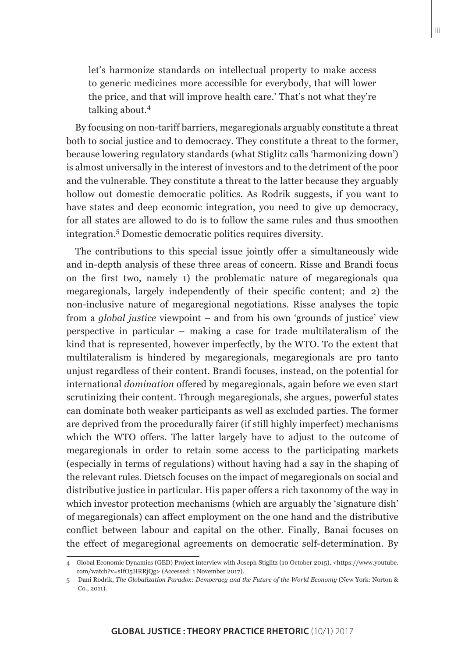let's harmonize standards on intellectual property to make access to generic medicines more accessible for everybody, that will lower the price, and that will improve health care.' That's not what they're talking about.<sup>4</sup>

By focusing on non-tariff barriers, megaregionals arguably constitute a threat both to social justice and to democracy. They constitute a threat to the former, because lowering regulatory standards (what Stiglitz calls 'harmonizing down') is almost universally in the interest of investors and to the detriment of the poor and the vulnerable. They constitute a threat to the latter because they arguably hollow out domestic democratic politics. As Rodrik suggests, if you want to have states and deep economic integration, you need to give up democracy, for all states are allowed to do is to follow the same rules and thus smoothen integration.<sup>5</sup> Domestic democratic politics requires diversity.

The contributions to this special issue jointly offer a simultaneously wide and in-depth analysis of these three areas of concern. Risse and Brandi focus on the first two, namely 1) the problematic nature of megaregionals qua megaregionals, largely independently of their specific content; and 2) the non-inclusive nature of megaregional negotiations. Risse analyses the topic from a *global justice* viewpoint – and from his own 'grounds of justice' view perspective in particular – making a case for trade multilateralism of the kind that is represented, however imperfectly, by the WTO. To the extent that multilateralism is hindered by megaregionals, megaregionals are pro tanto unjust regardless of their content. Brandi focuses, instead, on the potential for international *domination* offered by megaregionals, again before we even start scrutinizing their content. Through megaregionals, she argues, powerful states can dominate both weaker participants as well as excluded parties. The former are deprived from the procedurally fairer (if still highly imperfect) mechanisms which the WTO offers. The latter largely have to adjust to the outcome of megaregionals in order to retain some access to the participating markets (especially in terms of regulations) without having had a say in the shaping of the relevant rules. Dietsch focuses on the impact of megaregionals on social and distributive justice in particular. His paper offers a rich taxonomy of the way in which investor protection mechanisms (which are arguably the 'signature dish' of megaregionals) can affect employment on the one hand and the distributive conflict between labour and capital on the other. Finally, Banai focuses on the effect of megaregional agreements on democratic self-determination. By

<sup>4</sup> Global Economic Dynamics (GED) Project interview with Joseph Stiglitz (10 October 2015), <https://www.youtube. com/watch?v=sIfO5HRRjQg> (Accessed: 1 November 2017).

<sup>5</sup> Dani Rodrik, *The Globalization Paradox: Democracy and the Future of the World Economy* (New York: Norton & Co., 2011).